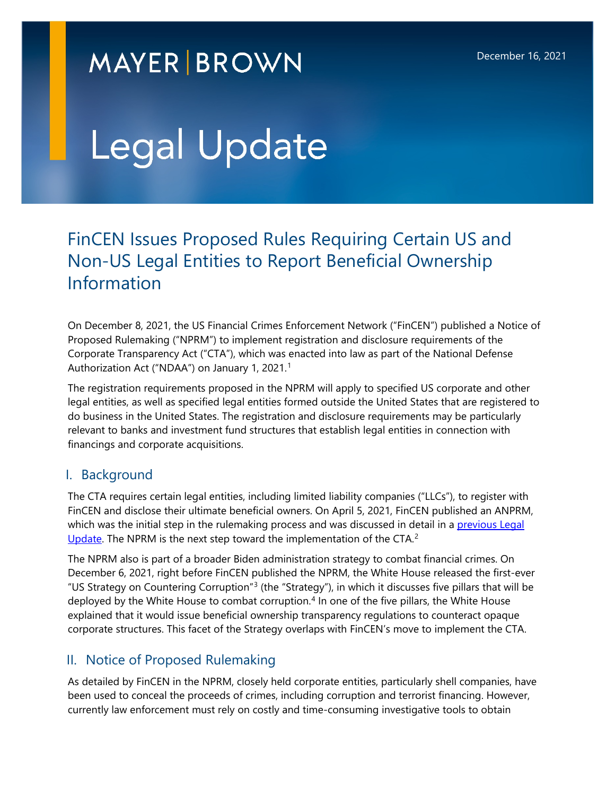## **MAYER BROWN**

# Legal Update

### FinCEN Issues Proposed Rules Requiring Certain US and Non-US Legal Entities to Report Beneficial Ownership Information

On December 8, 2021, the US Financial Crimes Enforcement Network ("FinCEN") published a Notice of Proposed Rulemaking ("NPRM") to implement registration and disclosure requirements of the Corporate Transparency Act ("CTA"), which was enacted into law as part of the National Defense Authorization Act ("NDAA") on January [1](#page-6-0), 2021.<sup>1</sup>

The registration requirements proposed in the NPRM will apply to specified US corporate and other legal entities, as well as specified legal entities formed outside the United States that are registered to do business in the United States. The registration and disclosure requirements may be particularly relevant to banks and investment fund structures that establish legal entities in connection with financings and corporate acquisitions.

#### I. Background

The CTA requires certain legal entities, including limited liability companies ("LLCs"), to register with FinCEN and disclose their ultimate beneficial owners. On April 5, 2021, FinCEN published an ANPRM, which was the initial step in the rulemaking process and was discussed in detail in a previous Legal [Update.](https://www.mayerbrown.com/en/perspectives-events/publications/2021/04/fincen-moves-to-implement-the-corporate-transparency-act) The NPRM is the next step toward the implementation of the CTA.<sup>[2](#page-6-1)</sup>

The NPRM also is part of a broader Biden administration strategy to combat financial crimes. On December 6, 2021, right before FinCEN published the NPRM, the White House released the first-ever "US Strategy on Countering Corruption"<sup>[3](#page-6-2)</sup> (the "Strategy"), in which it discusses five pillars that will be deployed by the White House to combat corruption.<sup>[4](#page-6-3)</sup> In one of the five pillars, the White House explained that it would issue beneficial ownership transparency regulations to counteract opaque corporate structures. This facet of the Strategy overlaps with FinCEN's move to implement the CTA.

#### II. Notice of Proposed Rulemaking

As detailed by FinCEN in the NPRM, closely held corporate entities, particularly shell companies, have been used to conceal the proceeds of crimes, including corruption and terrorist financing. However, currently law enforcement must rely on costly and time-consuming investigative tools to obtain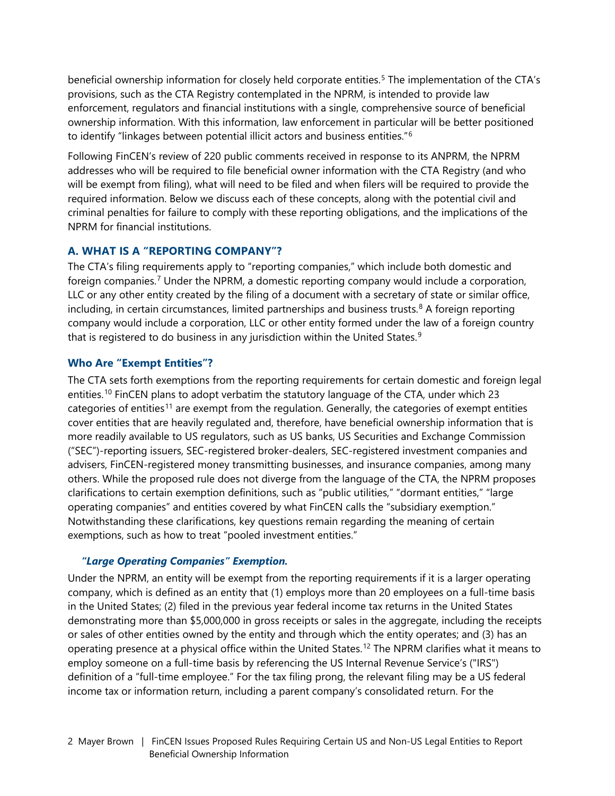beneficial ownership information for closely held corporate entities.<sup>[5](#page-6-4)</sup> The implementation of the CTA's provisions, such as the CTA Registry contemplated in the NPRM, is intended to provide law enforcement, regulators and financial institutions with a single, comprehensive source of beneficial ownership information. With this information, law enforcement in particular will be better positioned to identify "linkages between potential illicit actors and business entities."<sup>[6](#page-6-5)</sup>

Following FinCEN's review of 220 public comments received in response to its ANPRM, the NPRM addresses who will be required to file beneficial owner information with the CTA Registry (and who will be exempt from filing), what will need to be filed and when filers will be required to provide the required information. Below we discuss each of these concepts, along with the potential civil and criminal penalties for failure to comply with these reporting obligations, and the implications of the NPRM for financial institutions.

#### **A. WHAT IS A "REPORTING COMPANY"?**

The CTA's filing requirements apply to "reporting companies," which include both domestic and foreign companies.<sup>[7](#page-6-6)</sup> Under the NPRM, a domestic reporting company would include a corporation, LLC or any other entity created by the filing of a document with a secretary of state or similar office, including, in certain circumstances, limited partnerships and business trusts.<sup>[8](#page-6-7)</sup> A foreign reporting company would include a corporation, LLC or other entity formed under the law of a foreign country that is registered to do business in any jurisdiction within the United States. $9$ 

#### **Who Are "Exempt Entities"?**

The CTA sets forth exemptions from the reporting requirements for certain domestic and foreign legal entities.<sup>[10](#page-6-9)</sup> FinCEN plans to adopt verbatim the statutory language of the CTA, under which 23 categories of entities<sup>[11](#page-6-10)</sup> are exempt from the regulation. Generally, the categories of exempt entities cover entities that are heavily regulated and, therefore, have beneficial ownership information that is more readily available to US regulators, such as US banks, US Securities and Exchange Commission ("SEC")-reporting issuers, SEC-registered broker-dealers, SEC-registered investment companies and advisers, FinCEN-registered money transmitting businesses, and insurance companies, among many others. While the proposed rule does not diverge from the language of the CTA, the NPRM proposes clarifications to certain exemption definitions, such as "public utilities," "dormant entities," "large operating companies" and entities covered by what FinCEN calls the "subsidiary exemption." Notwithstanding these clarifications, key questions remain regarding the meaning of certain exemptions, such as how to treat "pooled investment entities."

#### *"Large Operating Companies" Exemption.*

Under the NPRM, an entity will be exempt from the reporting requirements if it is a larger operating company, which is defined as an entity that (1) employs more than 20 employees on a full-time basis in the United States; (2) filed in the previous year federal income tax returns in the United States demonstrating more than \$5,000,000 in gross receipts or sales in the aggregate, including the receipts or sales of other entities owned by the entity and through which the entity operates; and (3) has an operating presence at a physical office within the United States.<sup>[12](#page-6-11)</sup> The NPRM clarifies what it means to employ someone on a full-time basis by referencing the US Internal Revenue Service's ("IRS") definition of a "full-time employee." For the tax filing prong, the relevant filing may be a US federal income tax or information return, including a parent company's consolidated return. For the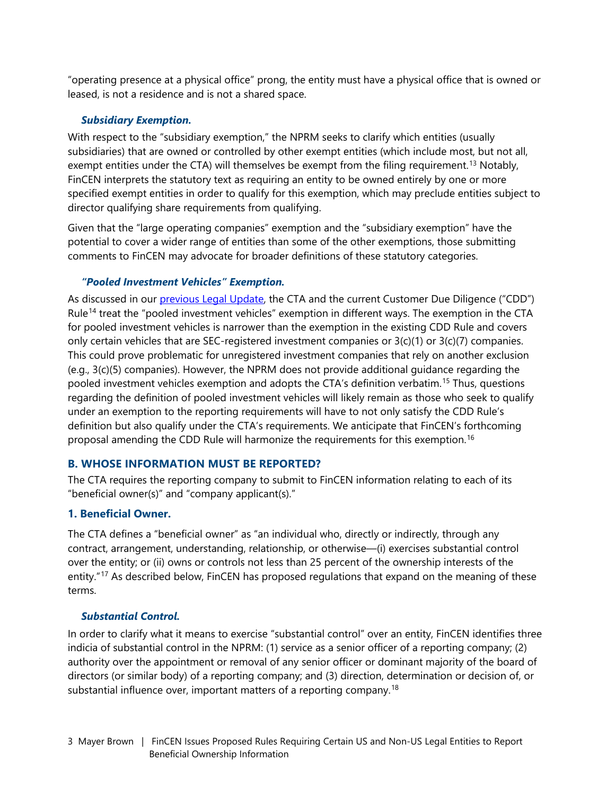"operating presence at a physical office" prong, the entity must have a physical office that is owned or leased, is not a residence and is not a shared space.

#### *Subsidiary Exemption.*

With respect to the "subsidiary exemption," the NPRM seeks to clarify which entities (usually subsidiaries) that are owned or controlled by other exempt entities (which include most, but not all, exempt entities under the CTA) will themselves be exempt from the filing requirement.<sup>[13](#page-6-12)</sup> Notably, FinCEN interprets the statutory text as requiring an entity to be owned entirely by one or more specified exempt entities in order to qualify for this exemption, which may preclude entities subject to director qualifying share requirements from qualifying.

Given that the "large operating companies" exemption and the "subsidiary exemption" have the potential to cover a wider range of entities than some of the other exemptions, those submitting comments to FinCEN may advocate for broader definitions of these statutory categories.

#### *"Pooled Investment Vehicles" Exemption.*

As discussed in our [previous Legal Update,](https://www.mayerbrown.com/en/perspectives-events/publications/2021/04/fincen-moves-to-implement-the-corporate-transparency-act) the CTA and the current Customer Due Diligence ("CDD") Rule<sup>[14](#page-6-13)</sup> treat the "pooled investment vehicles" exemption in different ways. The exemption in the CTA for pooled investment vehicles is narrower than the exemption in the existing CDD Rule and covers only certain vehicles that are SEC-registered investment companies or  $3(c)(1)$  or  $3(c)(7)$  companies. This could prove problematic for unregistered investment companies that rely on another exclusion (e.g., 3(c)(5) companies). However, the NPRM does not provide additional guidance regarding the pooled investment vehicles exemption and adopts the CTA's definition verbatim.<sup>[15](#page-6-14)</sup> Thus, questions regarding the definition of pooled investment vehicles will likely remain as those who seek to qualify under an exemption to the reporting requirements will have to not only satisfy the CDD Rule's definition but also qualify under the CTA's requirements. We anticipate that FinCEN's forthcoming proposal amending the CDD Rule will harmonize the requirements for this exemption.<sup>[16](#page-6-15)</sup>

#### **B. WHOSE INFORMATION MUST BE REPORTED?**

The CTA requires the reporting company to submit to FinCEN information relating to each of its "beneficial owner(s)" and "company applicant(s)."

#### **1. Beneficial Owner.**

The CTA defines a "beneficial owner" as "an individual who, directly or indirectly, through any contract, arrangement, understanding, relationship, or otherwise—(i) exercises substantial control over the entity; or (ii) owns or controls not less than 25 percent of the ownership interests of the entity."<sup>[17](#page-6-16)</sup> As described below, FinCEN has proposed regulations that expand on the meaning of these terms.

#### *Substantial Control.*

In order to clarify what it means to exercise "substantial control" over an entity, FinCEN identifies three indicia of substantial control in the NPRM: (1) service as a senior officer of a reporting company; (2) authority over the appointment or removal of any senior officer or dominant majority of the board of directors (or similar body) of a reporting company; and (3) direction, determination or decision of, or substantial influence over, important matters of a reporting company.<sup>[18](#page-6-17)</sup>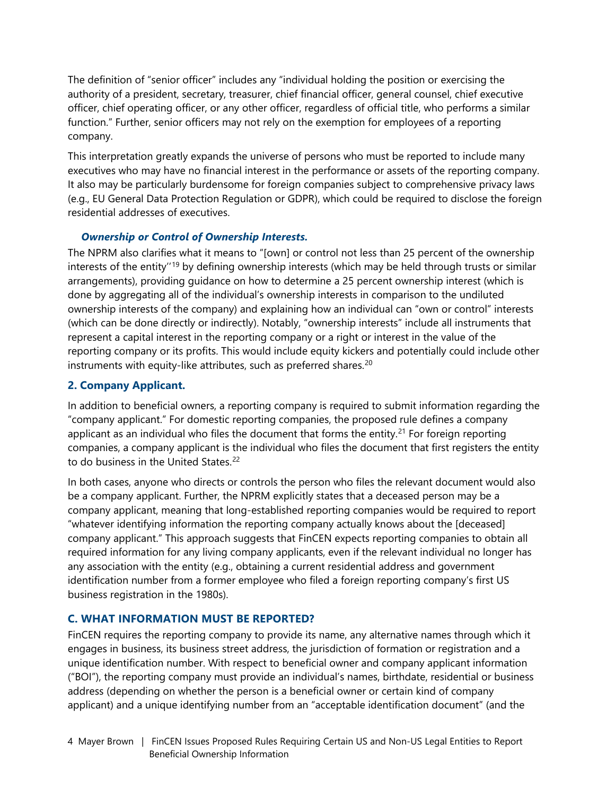The definition of "senior officer" includes any "individual holding the position or exercising the authority of a president, secretary, treasurer, chief financial officer, general counsel, chief executive officer, chief operating officer, or any other officer, regardless of official title, who performs a similar function." Further, senior officers may not rely on the exemption for employees of a reporting company.

This interpretation greatly expands the universe of persons who must be reported to include many executives who may have no financial interest in the performance or assets of the reporting company. It also may be particularly burdensome for foreign companies subject to comprehensive privacy laws (e.g., EU General Data Protection Regulation or GDPR), which could be required to disclose the foreign residential addresses of executives.

#### *Ownership or Control of Ownership Interests.*

The NPRM also clarifies what it means to "[own] or control not less than 25 percent of the ownership interests of the entity''[19](#page-6-18) by defining ownership interests (which may be held through trusts or similar arrangements), providing guidance on how to determine a 25 percent ownership interest (which is done by aggregating all of the individual's ownership interests in comparison to the undiluted ownership interests of the company) and explaining how an individual can "own or control" interests (which can be done directly or indirectly). Notably, "ownership interests" include all instruments that represent a capital interest in the reporting company or a right or interest in the value of the reporting company or its profits. This would include equity kickers and potentially could include other instruments with equity-like attributes, such as preferred shares.<sup>[20](#page-6-19)</sup>

#### **2. Company Applicant.**

In addition to beneficial owners, a reporting company is required to submit information regarding the "company applicant." For domestic reporting companies, the proposed rule defines a company applicant as an individual who files the document that forms the entity.<sup>[21](#page-6-20)</sup> For foreign reporting companies, a company applicant is the individual who files the document that first registers the entity to do business in the United States.<sup>[22](#page-6-21)</sup>

In both cases, anyone who directs or controls the person who files the relevant document would also be a company applicant. Further, the NPRM explicitly states that a deceased person may be a company applicant, meaning that long-established reporting companies would be required to report "whatever identifying information the reporting company actually knows about the [deceased] company applicant." This approach suggests that FinCEN expects reporting companies to obtain all required information for any living company applicants, even if the relevant individual no longer has any association with the entity (e.g., obtaining a current residential address and government identification number from a former employee who filed a foreign reporting company's first US business registration in the 1980s).

#### **C. WHAT INFORMATION MUST BE REPORTED?**

FinCEN requires the reporting company to provide its name, any alternative names through which it engages in business, its business street address, the jurisdiction of formation or registration and a unique identification number. With respect to beneficial owner and company applicant information ("BOI"), the reporting company must provide an individual's names, birthdate, residential or business address (depending on whether the person is a beneficial owner or certain kind of company applicant) and a unique identifying number from an "acceptable identification document" (and the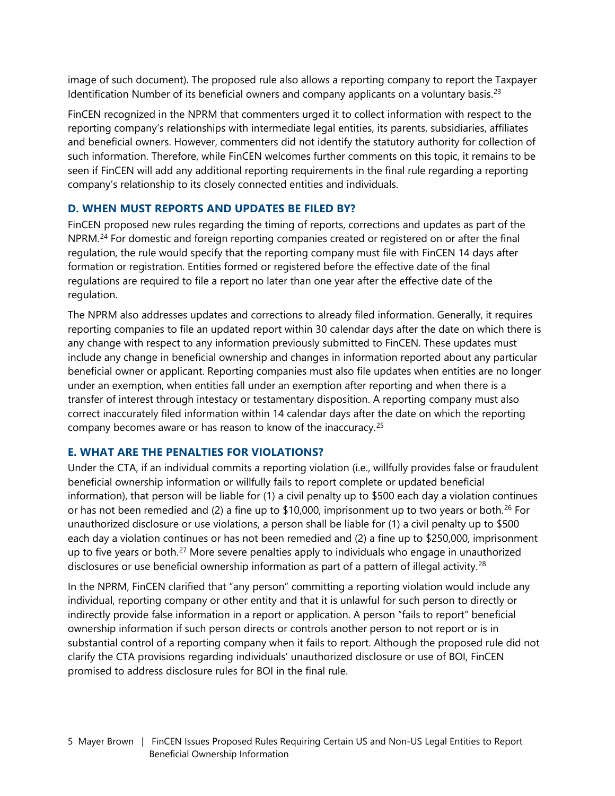image of such document). The proposed rule also allows a reporting company to report the Taxpayer Identification Number of its beneficial owners and company applicants on a voluntary basis.<sup>[23](#page-6-22)</sup>

FinCEN recognized in the NPRM that commenters urged it to collect information with respect to the reporting company's relationships with intermediate legal entities, its parents, subsidiaries, affiliates and beneficial owners. However, commenters did not identify the statutory authority for collection of such information. Therefore, while FinCEN welcomes further comments on this topic, it remains to be seen if FinCEN will add any additional reporting requirements in the final rule regarding a reporting company's relationship to its closely connected entities and individuals.

#### **D. WHEN MUST REPORTS AND UPDATES BE FILED BY?**

FinCEN proposed new rules regarding the timing of reports, corrections and updates as part of the NPRM.<sup>[24](#page-6-23)</sup> For domestic and foreign reporting companies created or registered on or after the final regulation, the rule would specify that the reporting company must file with FinCEN 14 days after formation or registration. Entities formed or registered before the effective date of the final regulations are required to file a report no later than one year after the effective date of the regulation.

The NPRM also addresses updates and corrections to already filed information. Generally, it requires reporting companies to file an updated report within 30 calendar days after the date on which there is any change with respect to any information previously submitted to FinCEN. These updates must include any change in beneficial ownership and changes in information reported about any particular beneficial owner or applicant. Reporting companies must also file updates when entities are no longer under an exemption, when entities fall under an exemption after reporting and when there is a transfer of interest through intestacy or testamentary disposition. A reporting company must also correct inaccurately filed information within 14 calendar days after the date on which the reporting company becomes aware or has reason to know of the inaccuracy.<sup>[25](#page-6-24)</sup>

#### **E. WHAT ARE THE PENALTIES FOR VIOLATIONS?**

Under the CTA, if an individual commits a reporting violation (i.e., willfully provides false or fraudulent beneficial ownership information or willfully fails to report complete or updated beneficial information), that person will be liable for (1) a civil penalty up to \$500 each day a violation continues or has not been remedied and (2) a fine up to \$10,000, imprisonment up to two years or both.<sup>[26](#page-6-25)</sup> For unauthorized disclosure or use violations, a person shall be liable for (1) a civil penalty up to \$500 each day a violation continues or has not been remedied and (2) a fine up to \$250,000, imprisonment up to five years or both.<sup>27</sup> More severe penalties apply to individuals who engage in unauthorized disclosures or use beneficial ownership information as part of a pattern of illegal activity.<sup>[28](#page-6-27)</sup>

In the NPRM, FinCEN clarified that "any person" committing a reporting violation would include any individual, reporting company or other entity and that it is unlawful for such person to directly or indirectly provide false information in a report or application. A person "fails to report" beneficial ownership information if such person directs or controls another person to not report or is in substantial control of a reporting company when it fails to report. Although the proposed rule did not clarify the CTA provisions regarding individuals' unauthorized disclosure or use of BOI, FinCEN promised to address disclosure rules for BOI in the final rule.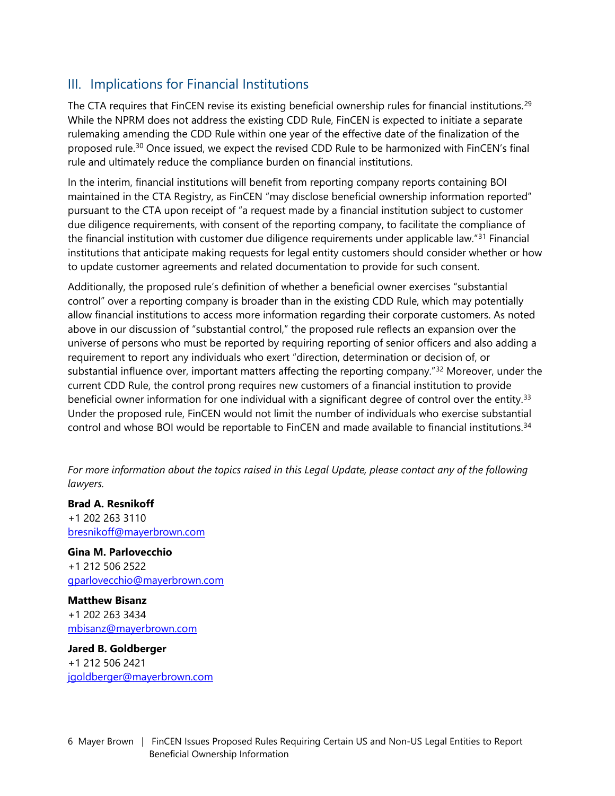#### III. Implications for Financial Institutions

The CTA requires that FinCEN revise its existing beneficial ownership rules for financial institutions.<sup>[29](#page-7-0)</sup> While the NPRM does not address the existing CDD Rule, FinCEN is expected to initiate a separate rulemaking amending the CDD Rule within one year of the effective date of the finalization of the proposed rule.[30](#page-7-1) Once issued, we expect the revised CDD Rule to be harmonized with FinCEN's final rule and ultimately reduce the compliance burden on financial institutions.

In the interim, financial institutions will benefit from reporting company reports containing BOI maintained in the CTA Registry, as FinCEN "may disclose beneficial ownership information reported" pursuant to the CTA upon receipt of "a request made by a financial institution subject to customer due diligence requirements, with consent of the reporting company, to facilitate the compliance of the financial institution with customer due diligence requirements under applicable law."<sup>[31](#page-7-2)</sup> Financial institutions that anticipate making requests for legal entity customers should consider whether or how to update customer agreements and related documentation to provide for such consent.

Additionally, the proposed rule's definition of whether a beneficial owner exercises "substantial control" over a reporting company is broader than in the existing CDD Rule, which may potentially allow financial institutions to access more information regarding their corporate customers. As noted above in our discussion of "substantial control," the proposed rule reflects an expansion over the universe of persons who must be reported by requiring reporting of senior officers and also adding a requirement to report any individuals who exert "direction, determination or decision of, or substantial influence over, important matters affecting the reporting company."<sup>[32](#page-7-3)</sup> Moreover, under the current CDD Rule, the control prong requires new customers of a financial institution to provide beneficial owner information for one individual with a significant degree of control over the entity.<sup>[33](#page-7-4)</sup> Under the proposed rule, FinCEN would not limit the number of individuals who exercise substantial control and whose BOI would be reportable to FinCEN and made available to financial institutions.<sup>[34](#page-7-5)</sup>

For more information about the topics raised in this Legal Update, please contact any of the following *lawyers.*

**Brad A. Resnikoff** +1 202 263 3110 [bresnikoff@mayerbrown.com](mailto:bresnikoff@mayerbrown.com)

**Gina M. Parlovecchio** +1 212 506 2522 [gparlovecchio@mayerbrown.com](mailto:gparlovecchio@mayerbrown.com)

**Matthew Bisanz** +1 202 263 3434 [mbisanz@mayerbrown.com](mailto:mbisanz@mayerbrown.com)

**Jared B. Goldberger** +1 212 506 2421 [jgoldberger@mayerbrown.com](mailto:jgoldberger@mayerbrown.com)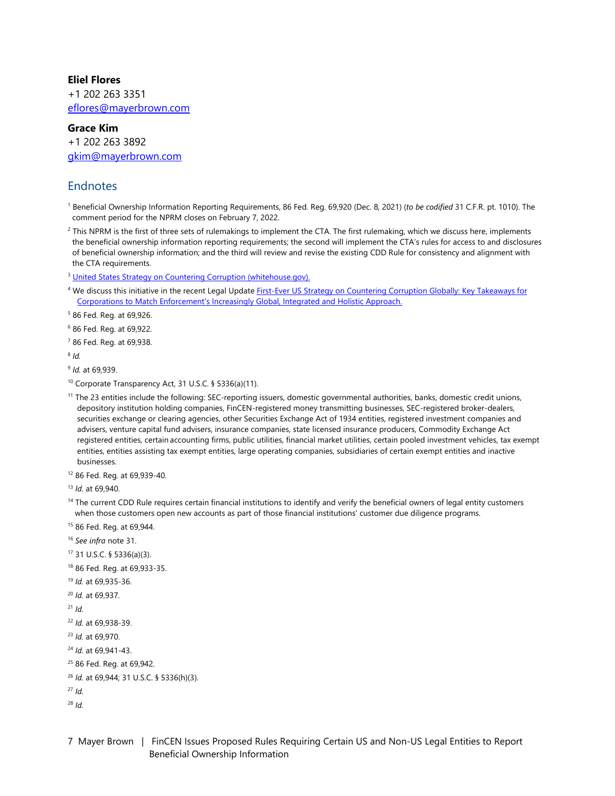#### **Eliel Flores**

+1 202 263 3351 [eflores@mayerbrown.com](mailto:eflores@mayerbrown.com)

**Grace Kim** +1 202 263 3892

[gkim@mayerbrown.com](mailto:gkim@mayerbrown.com)

#### **Endnotes**

<span id="page-6-0"></span><sup>1</sup> Beneficial Ownership Information Reporting Requirements, 86 Fed. Reg. 69,920 (Dec. 8, 2021) (*to be codified* 31 C.F.R. pt. 1010). The comment period for the NPRM closes on February 7, 2022.

<span id="page-6-1"></span> $<sup>2</sup>$  This NPRM is the first of three sets of rulemakings to implement the CTA. The first rulemaking, which we discuss here, implements</sup> the beneficial ownership information reporting requirements; the second will implement the CTA's rules for access to and disclosures of beneficial ownership information; and the third will review and revise the existing CDD Rule for consistency and alignment with the CTA requirements.

<span id="page-6-2"></span><sup>3</sup> [United States Strategy on Countering Corruption](https://www.whitehouse.gov/wp-content/uploads/2021/12/United-States-Strategy-on-Countering-Corruption.pdf) (whitehouse.gov).

<span id="page-6-3"></span>4 We discuss this initiative in the recent Legal Update First-Ever US Strategy on Countering Corruption Globally: Key Takeaways for [Corporations to Match Enforcement's Increasingly Global, Integrated and Holistic Approach.](https://www.mayerbrown.com/en/perspectives-events/publications/2021/12/first-ever-us-strategy-on-countering-corruption-globally-key-takeaways-for-corporations-to-match-enforcements-increasingly-global-integrated-and-holistic-approach)

<span id="page-6-4"></span><sup>5</sup> 86 Fed. Reg. at 69,926.

<span id="page-6-5"></span><sup>6</sup> 86 Fed. Reg. at 69,922.

<span id="page-6-6"></span><sup>7</sup> 86 Fed. Reg. at 69,938.

<span id="page-6-7"></span><sup>8</sup> *Id.*

<span id="page-6-8"></span><sup>9</sup> *Id.* at 69,939.

- <span id="page-6-9"></span><sup>10</sup> Corporate Transparency Act, 31 U.S.C. § 5336(a)(11).
- <span id="page-6-10"></span><sup>11</sup> The 23 entities include the following: SEC-reporting issuers, domestic governmental authorities, banks, domestic credit unions, depository institution holding companies, FinCEN-registered money transmitting businesses, SEC-registered broker-dealers, securities exchange or clearing agencies, other Securities Exchange Act of 1934 entities, registered investment companies and advisers, venture capital fund advisers, insurance companies, state licensed insurance producers, Commodity Exchange Act registered entities, certain accounting firms, public utilities, financial market utilities, certain pooled investment vehicles, tax exempt entities, entities assisting tax exempt entities, large operating companies, subsidiaries of certain exempt entities and inactive businesses.

<span id="page-6-11"></span><sup>12</sup> 86 Fed. Reg. at 69,939-40.

<span id="page-6-12"></span><sup>13</sup> *Id.* at 69,940.

<span id="page-6-13"></span><sup>14</sup> The current CDD Rule requires certain financial institutions to identify and verify the beneficial owners of legal entity customers when those customers open new accounts as part of those financial institutions' customer due diligence programs.

<span id="page-6-14"></span><sup>15</sup> 86 Fed. Reg. at 69,944.

- <span id="page-6-15"></span><sup>16</sup> *See infra* note 31.
- <span id="page-6-16"></span><sup>17</sup> 31 U.S.C. § 5336(a)(3).
- <span id="page-6-17"></span><sup>18</sup> 86 Fed. Reg. at 69,933-35.
- <span id="page-6-18"></span><sup>19</sup> *Id.* at 69,935-36.
- <span id="page-6-19"></span><sup>20</sup> *Id.* at 69,937.
- <span id="page-6-20"></span><sup>21</sup> *Id.*

```
22 Id. at 69,938-39.
```

```
23 Id. at 69,970.
```

```
24 Id. at 69,941-43.
```
<span id="page-6-24"></span><sup>25</sup> 86 Fed. Reg. at 69,942.

```
26 Id. at 69,944; 31 U.S.C. § 5336(h)(3).
```
<span id="page-6-26"></span><sup>27</sup> *Id.*

<span id="page-6-27"></span><sup>28</sup> *Id.*